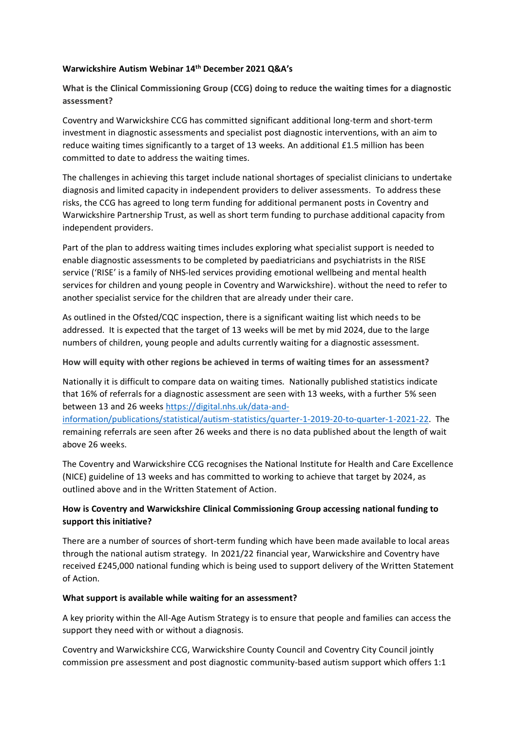#### **Warwickshire Autism Webinar 14th December 2021 Q&A's**

**What is the Clinical Commissioning Group (CCG) doing to reduce the waiting times for a diagnostic assessment?** 

Coventry and Warwickshire CCG has committed significant additional long-term and short-term investment in diagnostic assessments and specialist post diagnostic interventions, with an aim to reduce waiting times significantly to a target of 13 weeks. An additional £1.5 million has been committed to date to address the waiting times.

The challenges in achieving this target include national shortages of specialist clinicians to undertake diagnosis and limited capacity in independent providers to deliver assessments. To address these risks, the CCG has agreed to long term funding for additional permanent posts in Coventry and Warwickshire Partnership Trust, as well as short term funding to purchase additional capacity from independent providers.

Part of the plan to address waiting times includes exploring what specialist support is needed to enable diagnostic assessments to be completed by paediatricians and psychiatrists in the RISE service ('RISE' is a family of NHS-led services providing emotional wellbeing and mental health services for children and young people in Coventry and Warwickshire). without the need to refer to another specialist service for the children that are already under their care.

As outlined in the Ofsted/CQC inspection, there is a significant waiting list which needs to be addressed. It is expected that the target of 13 weeks will be met by mid 2024, due to the large numbers of children, young people and adults currently waiting for a diagnostic assessment.

#### **How will equity with other regions be achieved in terms of waiting times for an assessment?**

Nationally it is difficult to compare data on waiting times. Nationally published statistics indicate that 16% of referrals for a diagnostic assessment are seen with 13 weeks, with a further 5% seen between 13 and 26 weeks [https://digital.nhs.uk/data-and-](https://digital.nhs.uk/data-and-information/publications/statistical/autism-statistics/quarter-1-2019-20-to-quarter-1-2021-22)

[information/publications/statistical/autism-statistics/quarter-1-2019-20-to-quarter-1-2021-22.](https://digital.nhs.uk/data-and-information/publications/statistical/autism-statistics/quarter-1-2019-20-to-quarter-1-2021-22) The remaining referrals are seen after 26 weeks and there is no data published about the length of wait above 26 weeks.

The Coventry and Warwickshire CCG recognises the National Institute for Health and Care Excellence (NICE) guideline of 13 weeks and has committed to working to achieve that target by 2024, as outlined above and in the Written Statement of Action.

# **How is Coventry and Warwickshire Clinical Commissioning Group accessing national funding to support this initiative?**

There are a number of sources of short-term funding which have been made available to local areas through the national autism strategy. In 2021/22 financial year, Warwickshire and Coventry have received £245,000 national funding which is being used to support delivery of the Written Statement of Action.

#### **What support is available while waiting for an assessment?**

A key priority within the All-Age Autism Strategy is to ensure that people and families can access the support they need with or without a diagnosis.

Coventry and Warwickshire CCG, Warwickshire County Council and Coventry City Council jointly commission pre assessment and post diagnostic community-based autism support which offers 1:1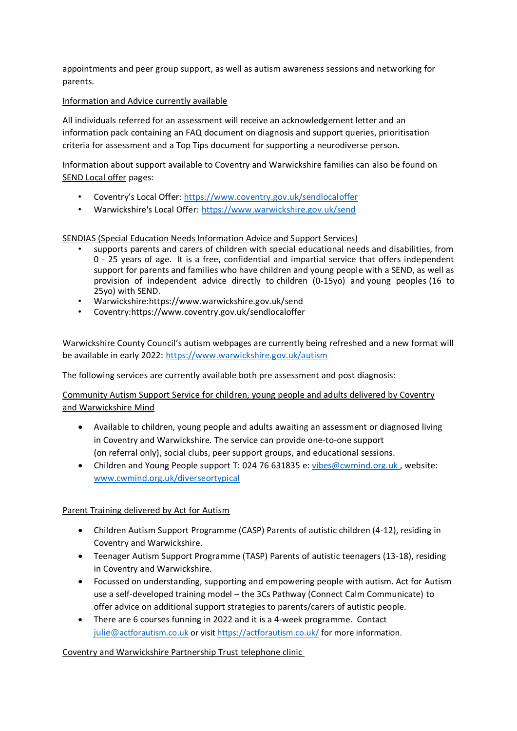appointments and peer group support, as well as autism awareness sessions and networking for parents.

## Information and Advice currently available

All individuals referred for an assessment will receive an acknowledgement letter and an information pack containing an FAQ document on diagnosis and support queries, prioritisation criteria for assessment and a Top Tips document for supporting a neurodiverse person.

Information about support available to Coventry and Warwickshire families can also be found on SEND Local offer pages:

- Coventry's Local Offer: <https://www.coventry.gov.uk/sendlocaloffer>
- Warwickshire's Local Offer:<https://www.warwickshire.gov.uk/send>

# SENDIAS (Special Education Needs Information Advice and Support Services)

- supports parents and carers of children with special educational needs and disabilities, from 0 - 25 years of age. It is a free, confidential and impartial service that offers independent support for parents and families who have children and young people with a SEND, as well as provision of independent advice directly to children (0-15yo) and young peoples (16 to 25yo) with SEND.
- Warwickshire[:https://www.warwickshire.gov.uk/send](https://www.warwickshire.gov.uk/send)
- Coventry[:https://www.coventry.gov.uk/sendlocaloffer](https://www.coventry.gov.uk/sendlocaloffer)

Warwickshire County Council's autism webpages are currently being refreshed and a new format will be available in early 2022:<https://www.warwickshire.gov.uk/autism>

The following services are currently available both pre assessment and post diagnosis:

Community Autism Support Service for children, young people and adults delivered by Coventry and Warwickshire Mind

- Available to children, young people and adults awaiting an assessment or diagnosed living in Coventry and Warwickshire. The service can provide one-to-one support (on referral only), social clubs, peer support groups, and educational sessions.
- Children and Young People support T: 024 76 631835 e: [vibes@cwmind.org.uk](mailto:vibes@cwmind.org.uk ), website: [www.cwmind.org.uk/diverseortypical](http://www.cwmind.org.uk/diverseortypical)

# Parent Training delivered by Act for Autism

- Children Autism Support Programme (CASP) Parents of autistic children (4-12), residing in Coventry and Warwickshire.
- Teenager Autism Support Programme (TASP) Parents of autistic teenagers (13-18), residing in Coventry and Warwickshire.
- Focussed on understanding, supporting and empowering people with autism. Act for Autism use a self-developed training model – the 3Cs Pathway (Connect Calm Communicate) to offer advice on additional support strategies to parents/carers of autistic people.
- There are 6 courses funning in 2022 and it is a 4-week programme. Contact [julie@](mailto:julie@actforautism.co.ukFor)[actforautism.co.uk](mailto:julie@actforautism.co.ukFor) or visi[t https://actforautism.co.uk/](https://actforautism.co.uk/) for more information.

# Coventry and Warwickshire Partnership Trust telephone clinic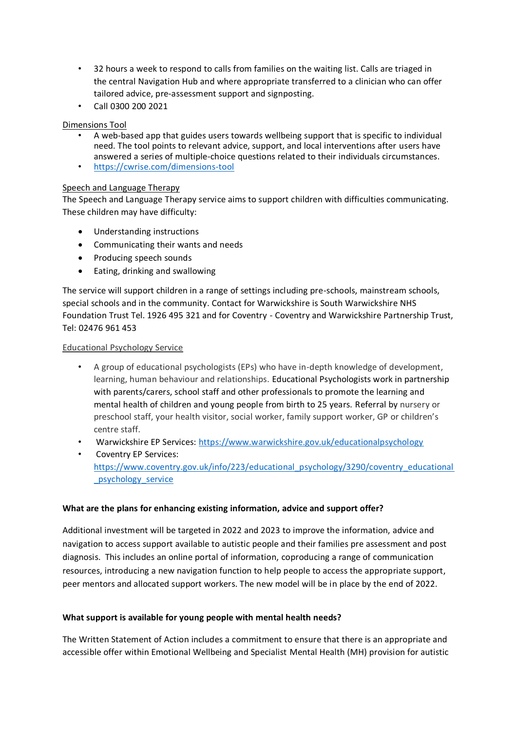- 32 hours a week to respond to calls from families on the waiting list. Calls are triaged in the central Navigation Hub and where appropriate transferred to a clinician who can offer tailored advice, pre-assessment support and signposting.
- Call 0300 200 2021

# Dimensions Tool

- A web-based app that guides users towards wellbeing support that is specific to individual need. The tool points to relevant advice, support, and local interventions after users have answered a series of multiple-choice questions related to their individuals circumstances.
- <https://cwrise.com/dimensions-tool>

# Speech and Language Therapy

The Speech and Language Therapy service aims to support children with difficulties communicating. These children may have difficulty:

- Understanding instructions
- Communicating their wants and needs
- Producing speech sounds
- Eating, drinking and swallowing

The service will support children in a range of settings including pre-schools, mainstream schools, special schools and in the community. Contact for Warwickshire is South Warwickshire NHS Foundation Trust Tel. 1926 495 321 and for Coventry - Coventry and Warwickshire Partnership Trust, Tel: 02476 961 453

# Educational Psychology Service

- A group of educational psychologists (EPs) who have in-depth knowledge of development, learning, human behaviour and relationships. Educational Psychologists work in partnership with parents/carers, school staff and other professionals to promote the learning and mental health of children and young people from birth to 25 years. Referral by nursery or preschool staff, your health visitor, social worker, family support worker, GP or children's centre staff.
- Warwickshire EP Services: <https://www.warwickshire.gov.uk/educationalpsychology>
- Coventry EP Services: [https://www.coventry.gov.uk/info/223/educational\\_psychology/3290/coventry\\_educational](https://www.coventry.gov.uk/info/223/educational_psychology/3290/coventry_educational_psychology_service) [\\_psychology\\_service](https://www.coventry.gov.uk/info/223/educational_psychology/3290/coventry_educational_psychology_service)

# **What are the plans for enhancing existing information, advice and support offer?**

Additional investment will be targeted in 2022 and 2023 to improve the information, advice and navigation to access support available to autistic people and their families pre assessment and post diagnosis. This includes an online portal of information, coproducing a range of communication resources, introducing a new navigation function to help people to access the appropriate support, peer mentors and allocated support workers. The new model will be in place by the end of 2022.

# **What support is available for young people with mental health needs?**

The Written Statement of Action includes a commitment to ensure that there is an appropriate and accessible offer within Emotional Wellbeing and Specialist Mental Health (MH) provision for autistic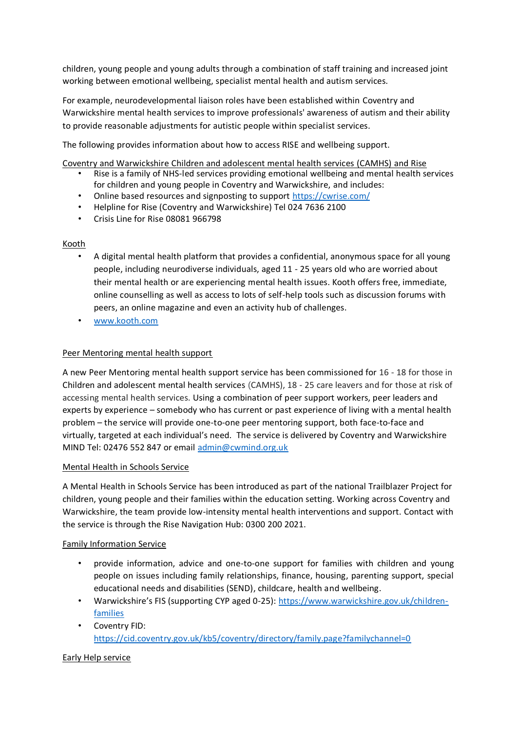children, young people and young adults through a combination of staff training and increased joint working between emotional wellbeing, specialist mental health and autism services.

For example, neurodevelopmental liaison roles have been established within Coventry and Warwickshire mental health services to improve professionals' awareness of autism and their ability to provide reasonable adjustments for autistic people within specialist services.

The following provides information about how to access RISE and wellbeing support.

Coventry and Warwickshire Children and adolescent mental health services (CAMHS) and Rise

- Rise is a family of NHS-led services providing emotional wellbeing and mental health services for children and young people in Coventry and Warwickshire, and includes:
- Online based resources and signposting to support <https://cwrise.com/>
- Helpline for Rise (Coventry and Warwickshire) Tel 024 7636 2100
- Crisis Line for Rise 08081 966798

#### Kooth

- A digital mental health platform that provides a confidential, anonymous space for all young people, including neurodiverse individuals, aged 11 - 25 years old who are worried about their mental health or are experiencing mental health issues. Kooth offers free, immediate, online counselling as well as access to lots of self-help tools such as discussion forums with peers, an online magazine and even an activity hub of challenges.
- [www.kooth.com](http://www.kooth.com/)

### Peer Mentoring mental health support

A new Peer Mentoring mental health support service has been commissioned for 16 - 18 for those in Children and adolescent mental health services (CAMHS), 18 - 25 care leavers and for those at risk of accessing mental health services. Using a combination of peer support workers, peer leaders and experts by experience – somebody who has current or past experience of living with a mental health problem – the service will provide one-to-one peer mentoring support, both face-to-face and virtually, targeted at each individual's need. The service is delivered by Coventry and Warwickshire MIND Tel: 02476 552 847 or email [admin@cwmind.org.uk](mailto:admin@cwmind.org.uk)

#### Mental Health in Schools Service

A Mental Health in Schools Service has been introduced as part of the national Trailblazer Project for children, young people and their families within the education setting. Working across Coventry and Warwickshire, the team provide low-intensity mental health interventions and support. Contact with the service is through the Rise Navigation Hub: 0300 200 2021.

#### Family Information Service

- provide information, advice and one-to-one support for families with children and young people on issues including family relationships, finance, housing, parenting support, special educational needs and disabilities (SEND), childcare, health and wellbeing.
- Warwickshire's FIS (supporting CYP aged 0-25)[: https://www.warwickshire.gov.uk/children](https://www.warwickshire.gov.uk/children-families)[families](https://www.warwickshire.gov.uk/children-families)
- Coventry FID: <https://cid.coventry.gov.uk/kb5/coventry/directory/family.page?familychannel=0>

#### Early Help service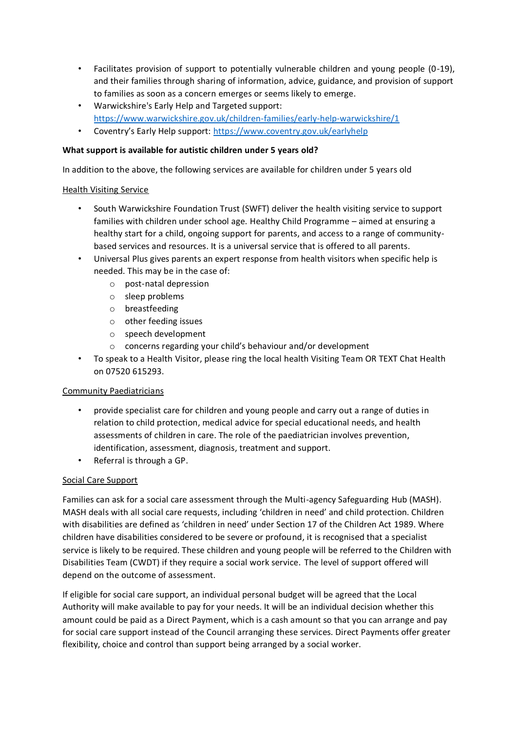- Facilitates provision of support to potentially vulnerable children and young people (0-19), and their families through sharing of information, advice, guidance, and provision of support to families as soon as a concern emerges or seems likely to emerge.
- Warwickshire's Early Help and Targeted support: <https://www.warwickshire.gov.uk/children-families/early-help-warwickshire/1>
- Coventry's Early Help support: <https://www.coventry.gov.uk/earlyhelp>

# **What support is available for autistic children under 5 years old?**

In addition to the above, the following services are available for children under 5 years old

### Health Visiting Service

- South Warwickshire Foundation Trust (SWFT) deliver the health visiting service to support families with children under school age. Healthy Child Programme – aimed at ensuring a healthy start for a child, ongoing support for parents, and access to a range of communitybased services and resources. It is a universal service that is offered to all parents.
- Universal Plus gives parents an expert response from health visitors when specific help is needed. This may be in the case of:
	- o post-natal depression
	- o sleep problems
	- o breastfeeding
	- o other feeding issues
	- o speech development
	- o concerns regarding your child's behaviour and/or development
- To speak to a Health Visitor, please ring the local health Visiting Team OR TEXT Chat Health on 07520 615293.

# Community Paediatricians

- provide specialist care for children and young people and carry out a range of duties in relation to child protection, medical advice for special educational needs, and health assessments of children in care. The role of the paediatrician involves prevention, identification, assessment, diagnosis, treatment and support.
- Referral is through a GP.

# Social Care Support

Families can ask for a social care assessment through the Multi-agency Safeguarding Hub (MASH). MASH deals with all social care requests, including 'children in need' and child protection. Children with disabilities are defined as 'children in need' under Section 17 of the Children Act 1989. Where children have disabilities considered to be severe or profound, it is recognised that a specialist service is likely to be required. These children and young people will be referred to the Children with Disabilities Team (CWDT) if they require a social work service. The level of support offered will depend on the outcome of assessment.

If eligible for social care support, an individual personal budget will be agreed that the Local Authority will make available to pay for your needs. It will be an individual decision whether this amount could be paid as a Direct Payment, which is a cash amount so that you can arrange and pay for social care support instead of the Council arranging these services. Direct Payments offer greater flexibility, choice and control than support being arranged by a social worker.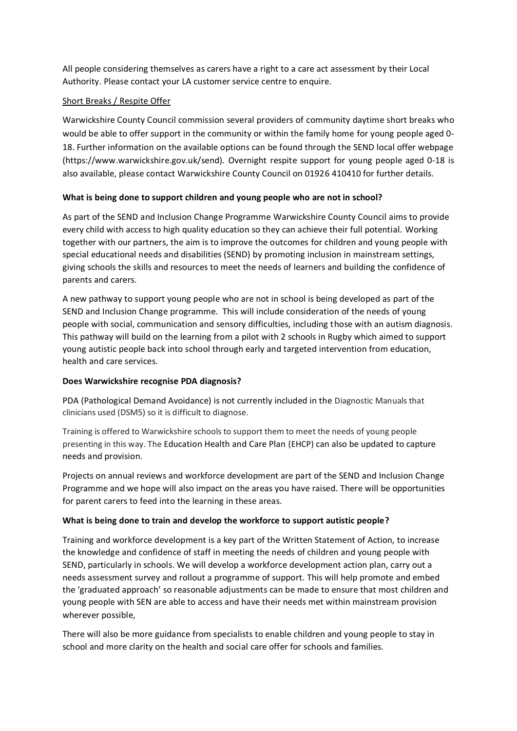All people considering themselves as carers have a right to a care act assessment by their Local Authority. Please contact your LA customer service centre to enquire.

#### Short Breaks / Respite Offer

Warwickshire County Council commission several providers of community daytime short breaks who would be able to offer support in the community or within the family home for young people aged 0- 18. Further information on the available options can be found through the SEND local offer webpage (https://www.warwickshire.gov.uk/send)*.* Overnight respite support for young people aged 0-18 is also available, please contact Warwickshire County Council on 01926 410410 for further details.

### **What is being done to support children and young people who are not in school?**

As part of the SEND and Inclusion Change Programme Warwickshire County Council aims to provide every child with access to high quality education so they can achieve their full potential. Working together with our partners, the aim is to improve the outcomes for children and young people with special educational needs and disabilities (SEND) by promoting inclusion in mainstream settings, giving schools the skills and resources to meet the needs of learners and building the confidence of parents and carers.

A new pathway to support young people who are not in school is being developed as part of the SEND and Inclusion Change programme. This will include consideration of the needs of young people with social, communication and sensory difficulties, including those with an autism diagnosis. This pathway will build on the learning from a pilot with 2 schools in Rugby which aimed to support young autistic people back into school through early and targeted intervention from education, health and care services.

#### **Does Warwickshire recognise PDA diagnosis?**

PDA (Pathological Demand Avoidance) is not currently included in the Diagnostic Manuals that clinicians used (DSM5) so it is difficult to diagnose.

Training is offered to Warwickshire schools to support them to meet the needs of young people presenting in this way. The Education Health and Care Plan (EHCP) can also be updated to capture needs and provision.

Projects on annual reviews and workforce development are part of the SEND and Inclusion Change Programme and we hope will also impact on the areas you have raised. There will be opportunities for parent carers to feed into the learning in these areas.

#### **What is being done to train and develop the workforce to support autistic people?**

Training and workforce development is a key part of the Written Statement of Action, to increase the knowledge and confidence of staff in meeting the needs of children and young people with SEND, particularly in schools. We will develop a workforce development action plan, carry out a needs assessment survey and rollout a programme of support. This will help promote and embed the 'graduated approach' so reasonable adjustments can be made to ensure that most children and young people with SEN are able to access and have their needs met within mainstream provision wherever possible,

There will also be more guidance from specialists to enable children and young people to stay in school and more clarity on the health and social care offer for schools and families.